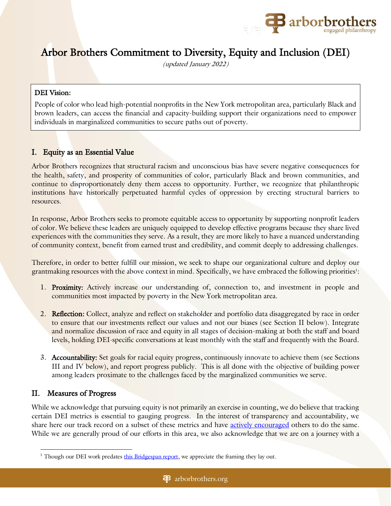

# Arbor Brothers Commitment to Diversity, Equity and Inclusion (DEI)

(updated January 2022)

## DEI Vision:

People of color who lead high-potential nonprofits in the New York metropolitan area, particularly Black and brown leaders, can access the financial and capacity-building support their organizations need to empower individuals in marginalized communities to secure paths out of poverty.

# I. Equity as an Essential Value

Arbor Brothers recognizes that structural racism and unconscious bias have severe negative consequences for the health, safety, and prosperity of communities of color, particularly Black and brown communities, and continue to disproportionately deny them access to opportunity. Further, we recognize that philanthropic institutions have historically perpetuated harmful cycles of oppression by erecting structural barriers to resources.

In response, Arbor Brothers seeks to promote equitable access to opportunity by supporting nonprofit leaders of color. We believe these leaders are uniquely equipped to develop effective programs because they share lived experiences with the communities they serve. As a result, they are more likely to have a nuanced understanding of community context, benefit from earned trust and credibility, and commit deeply to addressing challenges.

Therefore, in order to better fulfill our mission, we seek to shape our organizational culture and deploy our grantmaking resources with the above context in mind. Specifically, we have embraced the following priorities<sup>1</sup>:

- 1. Proximity: Actively increase our understanding of, connection to, and investment in people and communities most impacted by poverty in the New York metropolitan area.
- 2. Reflection: Collect, analyze and reflect on stakeholder and portfolio data disaggregated by race in order to ensure that our investments reflect our values and not our biases (see Section II below). Integrate and normalize discussion of race and equity in all stages of decision-making at both the staff and board levels, holding DEI-specific conversations at least monthly with the staff and frequently with the Board.
- 3. Accountability: Set goals for racial equity progress, continuously innovate to achieve them (see Sections III and IV below), and report progress publicly. This is all done with the objective of building power among leaders proximate to the challenges faced by the marginalized communities we serve.

# II. Measures of Progress

While we acknowledge that pursuing equity is not primarily an exercise in counting, we do believe that tracking certain DEI metrics is essential to gauging progress. In the interest of transparency and accountability, we share here our track record on a subset of these metrics and have [actively encouraged](https://bit.ly/3lSplMs) others to do the same. While we are generally proud of our efforts in this area, we also acknowledge that we are on a journey with a

<sup>&</sup>lt;sup>1</sup> Though our DEI work predates [this Bridgespan report,](https://www.bridgespan.org/bridgespan/Images/articles/racial-equity-and-philanthropy/racial-equity-and-philanthropy.pdf) we appreciate the framing they lay out.

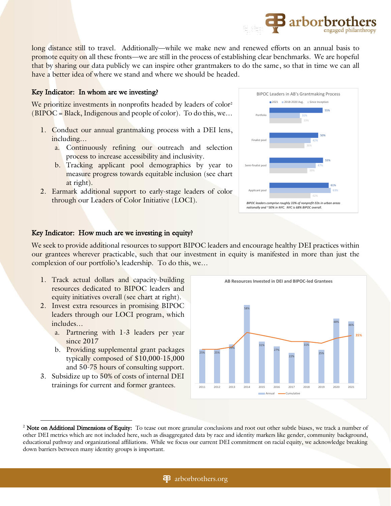long distance still to travel. Additionally—while we make new and renewed efforts on an annual basis to promote equity on all these fronts—we are still in the process of establishing clear benchmarks. We are hopeful that by sharing our data publicly we can inspire other grantmakers to do the same, so that in time we can all have a better idea of where we stand and where we should be headed.

## Key Indicator: In whom are we investing?

We prioritize investments in nonprofits headed by leaders of color<sup>2</sup>  $(BIPOC = Black, Indi$ genous and people of color). To do this, we...

- 1. Conduct our annual grantmaking process with a DEI lens, including…
	- a. Continuously refining our outreach and selection process to increase accessibility and inclusivity.
	- b. Tracking applicant pool demographics by year to measure progress towards equitable inclusion (see chart at right).
- 2. Earmark additional support to early-stage leaders of color through our Leaders of Color Initiative (LOCI).



**B** arborbro

### Key Indicator: How much are we investing in equity?

We seek to provide additional resources to support BIPOC leaders and encourage healthy DEI practices within our grantees wherever practicable, such that our investment in equity is manifested in more than just the complexion of our portfolio's leadership. To do this, we…

- 1. Track actual dollars and capacity-building resources dedicated to BIPOC leaders and equity initiatives overall (see chart at right).
- 2. Invest extra resources in promising BIPOC leaders through our LOCI program, which includes…
	- a. Partnering with 1-3 leaders per year since 2017
	- b. Providing supplemental grant packages typically composed of \$10,000-15,000 and 50-75 hours of consulting support.
- 3. Subsidize up to 50% of costs of internal DEI trainings for current and former grantees.



<sup>&</sup>lt;sup>2</sup> Note on Additional Dimensions of Equity: To tease out more granular conclusions and root out other subtle biases, we track a number of other DEI metrics which are not included here, such as disaggregated data by race and identity markers like gender, community background, educational pathway and organizational affiliations. While we focus our current DEI commitment on racial equity, we acknowledge breaking down barriers between many identity groups is important.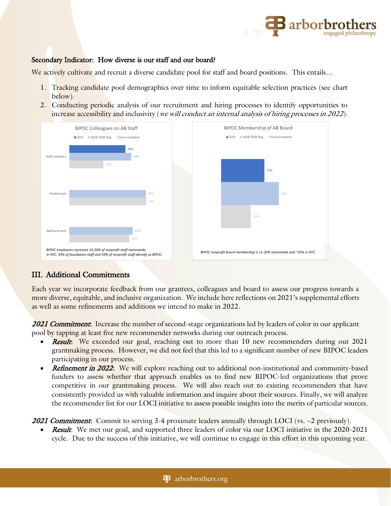

#### Secondary Indicator: How diverse is our staff and our board?

We actively cultivate and recruit a diverse candidate pool for staff and board positions. This entails...

- 1. Tracking candidate pool demographics over time to inform equitable selection practices (see chart below).
- 2. Conducting periodic analysis of our recruitment and hiring processes to identify opportunities to increase accessibility and inclusivity (*we will conduct an internal analysis of hiring processes in 2022*).



## III. Additional Commitments

Each year we incorporate feedback from our grantees, colleagues and board to assess our progress towards a more diverse, equitable, and inclusive organization. We include here reflections on 2021's supplemental efforts as well as some refinements and additions we intend to make in 2022.

**2021 Commitment:** Increase the number of second-stage organizations led by leaders of color in our applicant pool by tapping at least five new recommender networks during our outreach process.

- **Result:** We exceeded our goal, reaching out to more than 10 new recommenders during out 2021 grantmaking process. However, we did not feel that this led to a significant number of new BIPOC leaders participating in our process.
- Refinement in 2022: We will explore reaching out to additional non-institutional and community-based funders to assess whether that approach enables us to find new BIPOC-led organizations that prove competitive in our grantmaking process. We will also reach out to existing recommenders that have consistently provided us with valuable information and inquire about their sources. Finally, we will analyze the recommender list for our LOCI initiative to assess possible insights into the merits of particular sources.

**2021 Commitment:** Commit to serving 3-4 proximate leaders annually through LOCI (vs.  $\sim$ 2 previously).

**Result:** We met our goal, and supported three leaders of color via our LOCI initiative in the 2020-2021 cycle. Due to the success of this initiative, we will continue to engage in this effort in this upcoming year.